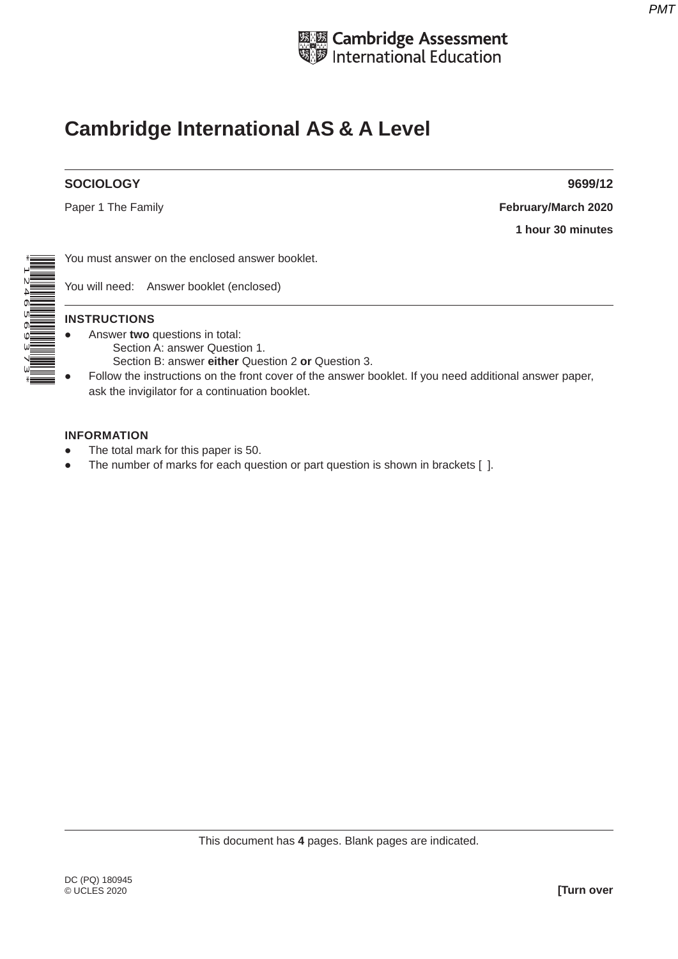

# **Cambridge International AS & A Level**

### **SOCIOLOGY 9699/12**

Paper 1 The Family **February/March 2020**

**1 hour 30 minutes**



You must answer on the enclosed answer booklet.

You will need: Answer booklet (enclosed)

#### **INSTRUCTIONS**

- Answer **two** questions in total: Section A: answer Question 1.
	- Section B: answer **either** Question 2 **or** Question 3.
- Follow the instructions on the front cover of the answer booklet. If you need additional answer paper, ask the invigilator for a continuation booklet.

#### **INFORMATION**

- The total mark for this paper is 50.
- The number of marks for each question or part question is shown in brackets [ ].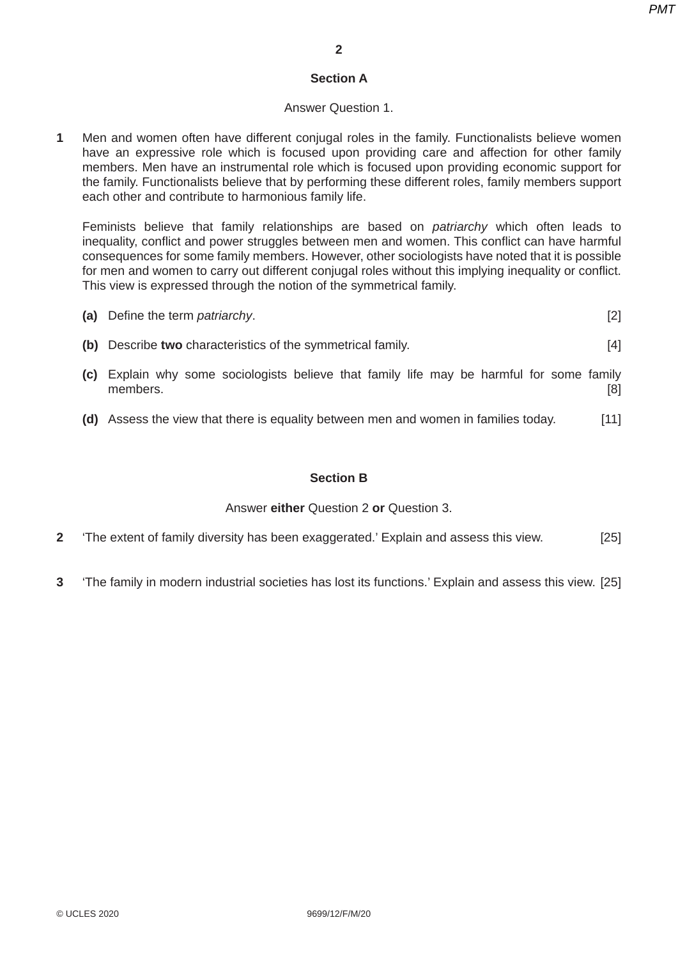### **Section A**

#### Answer Question 1.

**1** Men and women often have different conjugal roles in the family. Functionalists believe women have an expressive role which is focused upon providing care and affection for other family members. Men have an instrumental role which is focused upon providing economic support for the family. Functionalists believe that by performing these different roles, family members support each other and contribute to harmonious family life.

Feminists believe that family relationships are based on *patriarchy* which often leads to inequality, conflict and power struggles between men and women. This conflict can have harmful consequences for some family members. However, other sociologists have noted that it is possible for men and women to carry out different conjugal roles without this implying inequality or conflict. This view is expressed through the notion of the symmetrical family.

|  | (a) Define the term patriarchy. |  |
|--|---------------------------------|--|
|--|---------------------------------|--|

- **(b)** Describe **two** characteristics of the symmetrical family. [4]
- **(c)** Explain why some sociologists believe that family life may be harmful for some family members.  $[8]$
- **(d)** Assess the view that there is equality between men and women in families today. [11]

# **Section B**

#### Answer **either** Question 2 **or** Question 3.

- **2** 'The extent of family diversity has been exaggerated.' Explain and assess this view. [25]
- **3** 'The family in modern industrial societies has lost its functions.' Explain and assess this view. [25]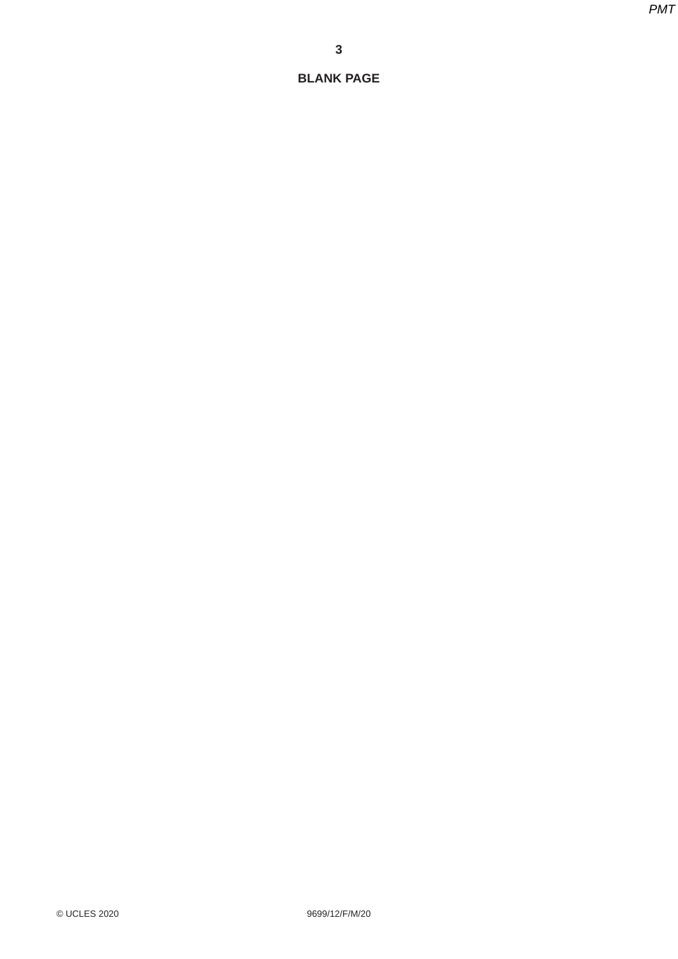PMT

# $\overline{\mathbf{3}}$

# **BLANK PAGE**